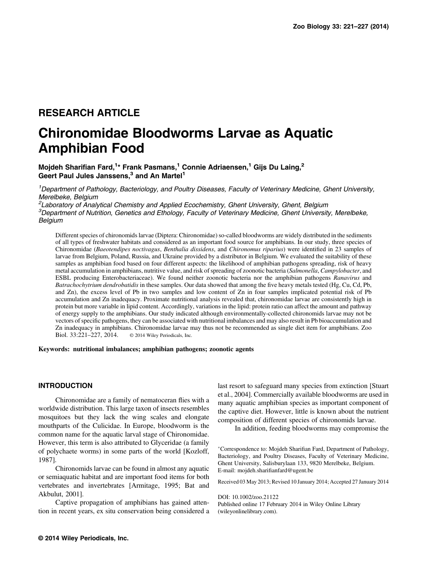## RESEARCH ARTICLE

# Chironomidae Bloodworms Larvae as Aquatic Amphibian Food

Mojdeh Sharifian Fard,<sup>1</sup>\* Frank Pasmans,<sup>1</sup> Connie Adriaensen,<sup>1</sup> Gijs Du Laing,<sup>2</sup> Geert Paul Jules Janssens, $3$  and An Martel<sup>1</sup>

<sup>1</sup> Department of Pathology, Bacteriology, and Poultry Diseases, Faculty of Veterinary Medicine, Ghent University, Merelbeke, Belgium

2 Laboratory of Analytical Chemistry and Applied Ecochemistry, Ghent University, Ghent, Belgium <sup>3</sup>Department of Nutrition, Genetics and Ethology, Faculty of Veterinary Medicine, Ghent University, Merelbeke, Belgium

Different species of chironomids larvae (Diptera: Chironomidae) so-called bloodworms are widely distributed in the sediments of all types of freshwater habitats and considered as an important food source for amphibians. In our study, three species of Chironomidae (Baeotendipes noctivagus, Benthalia dissidens, and Chironomus riparius) were identified in 23 samples of larvae from Belgium, Poland, Russia, and Ukraine provided by a distributor in Belgium. We evaluated the suitability of these samples as amphibian food based on four different aspects: the likelihood of amphibian pathogens spreading, risk of heavy metal accumulation in amphibians, nutritive value, and risk of spreading of zoonotic bacteria (Salmonella, Campylobacter, and ESBL producing Enterobacteriaceae). We found neither zoonotic bacteria nor the amphibian pathogens Ranavirus and Batrachochytrium dendrobatidis in these samples. Our data showed that among the five heavy metals tested (Hg, Cu, Cd, Pb, and Zn), the excess level of Pb in two samples and low content of Zn in four samples implicated potential risk of Pb accumulation and Zn inadequacy. Proximate nutritional analysis revealed that, chironomidae larvae are consistently high in protein but more variable in lipid content. Accordingly, variations in the lipid: protein ratio can affect the amount and pathway of energy supply to the amphibians. Our study indicated although environmentally‐collected chironomids larvae may not be vectors of specific pathogens, they can be associated with nutritional imbalances and may also result in Pb bioaccumulation and Zn inadequacy in amphibians. Chironomidae larvae may thus not be recommended as single diet item for amphibians. Zoo Biol. 33:221–227, 2014. © 2014 Wiley Periodicals, Inc.

Keywords: nutritional imbalances; amphibian pathogens; zoonotic agents

## INTRODUCTION

Chironomidae are a family of nematoceran flies with a worldwide distribution. This large taxon of insects resembles mosquitoes but they lack the wing scales and elongate mouthparts of the Culicidae. In Europe, bloodworm is the common name for the aquatic larval stage of Chironomidae. However, this term is also attributed to Glyceridae (a family of polychaete worms) in some parts of the world [Kozloff, 1987].

Chironomids larvae can be found in almost any aquatic or semiaquatic habitat and are important food items for both vertebrates and invertebrates [Armitage, 1995; Bat and Akbulut, 2001].

Captive propagation of amphibians has gained attention in recent years, ex situ conservation being considered a last resort to safeguard many species from extinction [Stuart et al., 2004]. Commercially available bloodworms are used in many aquatic amphibian species as important component of the captive diet. However, little is known about the nutrient composition of different species of chironomids larvae.

In addition, feeding bloodworms may compromise the

Correspondence to: Mojdeh Sharifian Fard, Department of Pathology, Bacteriology, and Poultry Diseases, Faculty of Veterinary Medicine, Ghent University, Salisburylaan 133, 9820 Merelbeke, Belgium. E‐mail: mojdeh.sharifianfard@ugent.be

Received 03 May 2013; Revised 10 January 2014; Accepted 27 January 2014

DOI: 10.1002/zoo.21122

Published online 17 February 2014 in Wiley Online Library (wileyonlinelibrary.com).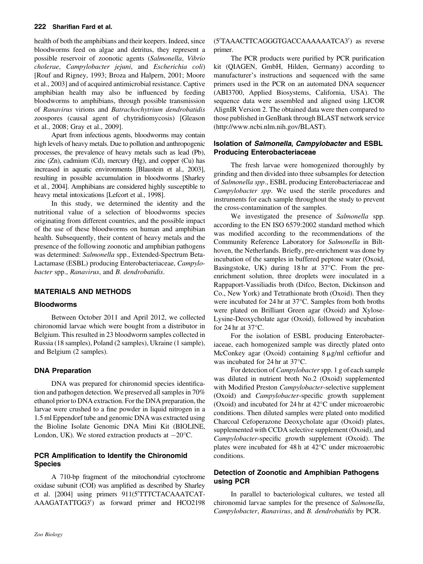## 222 Sharifian Fard et al.

health of both the amphibians and their keepers. Indeed, since bloodworms feed on algae and detritus, they represent a possible reservoir of zoonotic agents (Salmonella, Vibrio cholerae, Campylobacter jejuni, and Escherichia coli) [Rouf and Rigney, 1993; Broza and Halpern, 2001; Moore et al., 2003] and of acquired antimicrobial resistance. Captive amphibian health may also be influenced by feeding bloodworms to amphibians, through possible transmission of Ranavirus virions and Batrachochytrium dendrobatidis zoospores (causal agent of chytridiomycosis) [Gleason et al., 2008; Gray et al., 2009].

Apart from infectious agents, bloodworms may contain high levels of heavy metals. Due to pollution and anthropogenic processes, the prevalence of heavy metals such as lead (Pb), zinc (Zn), cadmium (Cd), mercury (Hg), and copper (Cu) has increased in aquatic environments [Blaustein et al., 2003], resulting in possible accumulation in bloodworms [Sharley et al., 2004]. Amphibians are considered highly susceptible to heavy metal intoxications [Lefcort et al., 1998].

In this study, we determined the identity and the nutritional value of a selection of bloodworms species originating from different countries, and the possible impact of the use of these bloodworms on human and amphibian health. Subsequently, their content of heavy metals and the presence of the following zoonotic and amphibian pathogens was determined: Salmonella spp., Extended‐Spectrum Beta‐ Lactamase (ESBL) producing Enterobacteriaceae, Campylobacter spp., Ranavirus, and B. dendrobatidis.

## MATERIALS AND METHODS

## Bloodworms

Between October 2011 and April 2012, we collected chironomid larvae which were bought from a distributor in Belgium. This resulted in 23 bloodworm samples collected in Russia (18 samples), Poland (2 samples), Ukraine (1 sample), and Belgium (2 samples).

## DNA Preparation

DNA was prepared for chironomid species identification and pathogen detection. We preserved all samples in 70% ethanol prior to DNA extraction. For the DNA preparation, the larvae were crushed to a fine powder in liquid nitrogen in a 1.5 ml Eppendorf tube and genomic DNA was extracted using the Bioline Isolate Genomic DNA Mini Kit (BIOLINE, London, UK). We stored extraction products at  $-20^{\circ}$ C.

## PCR Amplification to Identify the Chironomid Species

A 710‐bp fragment of the mitochondrial cytochrome oxidase subunit (COI) was amplified as described by Sharley et al. [2004] using primers 911(5'TTTCTACAAATCAT-AAAGATATTGG3') as forward primer and HCO2198

(5'TAAACTTCAGGGTGACCAAAAAATCA3') as reverse primer.

The PCR products were purified by PCR purification kit (QIAGEN, GmbH, Hilden, Germany) according to manufacturer's instructions and sequenced with the same primers used in the PCR on an automated DNA sequencer (ABI3700, Applied Biosystems, California, USA). The sequence data were assembled and aligned using LICOR AlignIR Version 2. The obtained data were then compared to those published in GenBank through BLAST network service [\(http://www.ncbi.nlm.nih.gov/BLAST\)](http://www.ncbi.nlm.nih.gov/BLAST).

## Isolation of Salmonella, Campylobacter and ESBL Producing Enterobacteriaceae

The fresh larvae were homogenized thoroughly by grinding and then divided into three subsamples for detection of Salmonella spp., ESBL producing Enterobacteriaceae and Campylobacter spp. We used the sterile procedures and instruments for each sample throughout the study to prevent the cross‐contamination of the samples.

We investigated the presence of Salmonella spp. according to the EN ISO 6579:2002 standard method which was modified according to the recommendations of the Community Reference Laboratory for Salmonella in Bilthoven, the Netherlands. Briefly, pre-enrichment was done by incubation of the samples in buffered peptone water (Oxoid, Basingstoke, UK) during 18 hr at 37°C. From the pre‐ enrichment solution, three droplets were inoculated in a Rappaport‐Vassiliadis broth (Difco, Becton, Dickinson and Co., New York) and Tetrathionate broth (Oxoid). Then they were incubated for 24 hr at 37°C. Samples from both broths were plated on Brilliant Green agar (Oxoid) and Xylose-Lysine‐Deoxycholate agar (Oxoid), followed by incubation for 24 hr at  $37^{\circ}$ C.

For the isolation of ESBL producing Enterobacteriaceae, each homogenized sample was directly plated onto McConkey agar (Oxoid) containing  $8 \mu g/ml$  ceftiofur and was incubated for 24 hr at 37°C.

For detection of *Campylobacter* spp. 1 g of each sample was diluted in nutrient broth No.2 (Oxoid) supplemented with Modified Preston Campylobacter-selective supplement (Oxoid) and *Campylobacter*-specific growth supplement (Oxoid) and incubated for 24 hr at 42°C under microaerobic conditions. Then diluted samples were plated onto modified Charcoal Cefoperazone Deoxycholate agar (Oxoid) plates, supplemented with CCDA selective supplement (Oxoid), and Campylobacter‐specific growth supplement (Oxoid). The plates were incubated for 48 h at 42°C under microaerobic conditions.

## Detection of Zoonotic and Amphibian Pathogens using PCR

In parallel to bacteriological cultures, we tested all chironomid larvae samples for the presence of Salmonella, Campylobacter, Ranavirus, and B. dendrobatidis by PCR.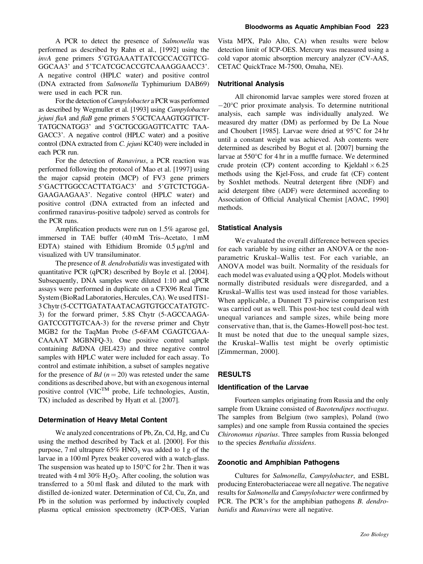A PCR to detect the presence of Salmonella was performed as described by Rahn et al., [1992] using the invA gene primers 5'GTGAAATTATCGCCACGTTCG-GGCAA3' and 5'TCATCGCACCGTCAAAGGAACC3'. A negative control (HPLC water) and positive control (DNA extracted from Salmonella Typhimurium DAB69) were used in each PCR run.

For the detection of *Campylobacter* a PCR was performed as described by Wegmuller et al. [1993] using Campylobacter jejuni flaA and flaB gene primers 5'GCTCAAAGTGGTTCT-TATGCNATGG3' and 5'GCTGCGGAGTTCATTC TAA-GACC3'. A negative control (HPLC water) and a positive control (DNA extracted from C. jejuni KC40) were included in each PCR run.

For the detection of Ranavirus, a PCR reaction was performed following the protocol of Mao et al. [1997] using the major capsid protein (MCP) of FV3 gene primers 5'GACTTGGCCACTTATGAC3' and 5'GTCTCTGGA-GAAGAAGAA3'. Negative control (HPLC water) and positive control (DNA extracted from an infected and confirmed ranavirus‐positive tadpole) served as controls for the PCR runs.

Amplification products were run on 1.5% agarose gel, immersed in TAE buffer (40 mM Tris–Acetato, 1 mM EDTA) stained with Ethidium Bromide  $0.5 \mu g/ml$  and visualized with UV transiluminator.

The presence of *B. dendrobatidis* was investigated with quantitative PCR (qPCR) described by Boyle et al. [2004]. Subsequently, DNA samples were diluted 1:10 and qPCR assays were performed in duplicate on a CFX96 Real Time System (BioRad Laboratories, Hercules, CA). We used ITS1‐ 3 Chytr (5‐CCTTGATATAATACAGTGTGCCATATGTC‐ 3) for the forward primer, 5.8S Chytr (5‐AGCCAAGA-GATCCGTTGTCAA‐3) for the reverse primer and Chytr MGB2 for the TaqMan Probe (5‐6FAM CGAGTCGAA-CAAAAT MGBNFQ‐3). One positive control sample containing BdDNA (JEL423) and three negative control samples with HPLC water were included for each assay. To control and estimate inhibition, a subset of samples negative for the presence of *Bd* ( $n = 20$ ) was retested under the same conditions as described above, but with an exogenous internal positive control (VIC<sup>TM</sup> probe, Life technologies, Austin, TX) included as described by Hyatt et al. [2007].

#### Determination of Heavy Metal Content

We analyzed concentrations of Pb, Zn, Cd, Hg, and Cu using the method described by Tack et al. [2000]. For this purpose, 7 ml ultrapure  $65\%$  HNO<sub>3</sub> was added to 1 g of the larvae in a 100 ml Pyrex beaker covered with a watch‐glass. The suspension was heated up to  $150^{\circ}$ C for 2 hr. Then it was treated with 4 ml 30%  $H_2O_2$ . After cooling, the solution was transferred to a 50 ml flask and diluted to the mark with distilled de‐ionized water. Determination of Cd, Cu, Zn, and Pb in the solution was performed by inductively coupled plasma optical emission spectrometry (ICP‐OES, Varian

Vista MPX, Palo Alto, CA) when results were below detection limit of ICP‐OES. Mercury was measured using a cold vapor atomic absorption mercury analyzer (CV‐AAS, CETAC QuickTrace M‐7500, Omaha, NE).

#### Nutritional Analysis

All chironomid larvae samples were stored frozen at  $-20^{\circ}$ C prior proximate analysis. To determine nutritional analysis, each sample was individually analyzed. We measured dry matter (DM) as performed by De La Noue and Choubert [1985]. Larvae were dried at 95°C for 24 hr until a constant weight was achieved. Ash contents were determined as described by Bogut et al. [2007] burning the larvae at 550°C for 4 hr in a muffle furnace. We determined crude protein (CP) content according to Kjeldahl  $\times$  6.25 methods using the Kjel‐Foss, and crude fat (CF) content by Soxhlet methods. Neutral detergent fibre (NDF) and acid detergent fibre (ADF) were determined according to Association of Official Analytical Chemist [AOAC, 1990] methods.

#### Statistical Analysis

We evaluated the overall difference between species for each variable by using either an ANOVA or the nonparametric Kruskal–Wallis test. For each variable, an ANOVA model was built. Normality of the residuals for each model was evaluated using a QQ plot. Models without normally distributed residuals were disregarded, and a Kruskal–Wallis test was used instead for those variables. When applicable, a Dunnett T3 pairwise comparison test was carried out as well. This post‐hoc test could deal with unequal variances and sample sizes, while being more conservative than, that is, the Games‐Howell post‐hoc test. It must be noted that due to the unequal sample sizes, the Kruskal–Wallis test might be overly optimistic [Zimmerman, 2000].

#### RESULTS

### Identification of the Larvae

Fourteen samples originating from Russia and the only sample from Ukraine consisted of Baeotendipes noctivagus. The samples from Belgium (two samples), Poland (two samples) and one sample from Russia contained the species Chironomus riparius. Three samples from Russia belonged to the species Benthalia dissidens.

#### Zoonotic and Amphibian Pathogens

Cultures for Salmonella, Campylobacter, and ESBL producing Enterobacteriaceae were all negative. The negative results for Salmonella and Campylobacter were confirmed by PCR. The PCR's for the amphibian pathogens B. dendrobatidis and Ranavirus were all negative.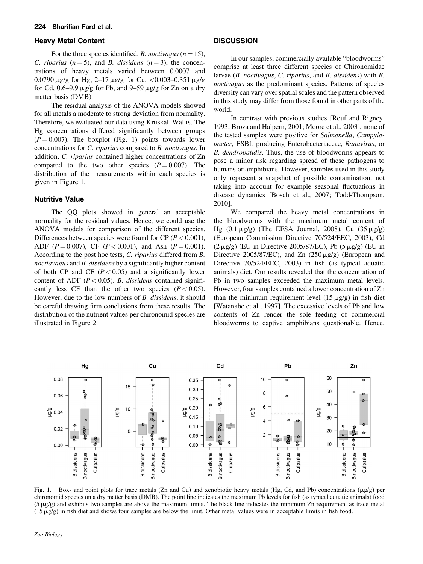## Heavy Metal Content

For the three species identified, *B. noctivagus* ( $n = 15$ ), C. riparius ( $n = 5$ ), and B. dissidens ( $n = 3$ ), the concentrations of heavy metals varied between 0.0007 and 0.0790  $\mu$ g/g for Hg, 2–17  $\mu$ g/g for Cu, <0.003–0.351  $\mu$ g/g for Cd,  $0.6-9.9 \mu g/g$  for Pb, and  $9-59 \mu g/g$  for Zn on a dry matter basis (DMB).

The residual analysis of the ANOVA models showed for all metals a moderate to strong deviation from normality. Therefore, we evaluated our data using Kruskal–Wallis. The Hg concentrations differed significantly between groups  $(P = 0.007)$ . The boxplot (Fig. 1) points towards lower concentrations for C. riparius compared to B. noctivagus. In addition, C. riparius contained higher concentrations of Zn compared to the two other species  $(P = 0.007)$ . The distribution of the measurements within each species is given in Figure 1.

## Nutritive Value

The QQ plots showed in general an acceptable normality for the residual values. Hence, we could use the ANOVA models for comparison of the different species. Differences between species were found for CP ( $P < 0.001$ ), ADF ( $P = 0.007$ ), CF ( $P < 0.001$ ), and Ash ( $P = 0.001$ ). According to the post hoc tests, C. riparius differed from B. noctiavagus and B. dissidens by a significantly higher content of both CP and CF  $(P < 0.05)$  and a significantly lower content of ADF ( $P < 0.05$ ). B. dissidens contained significantly less CF than the other two species  $(P < 0.05)$ . However, due to the low numbers of B. dissidens, it should be careful drawing firm conclusions from these results. The distribution of the nutrient values per chironomid species are illustrated in Figure 2.

## **DISCUSSION**

In our samples, commercially available "bloodworms" comprise at least three different species of Chironomidae larvae (B. noctivagus, C. riparius, and B. dissidens) with B. noctivagus as the predominant species. Patterns of species diversity can vary over spatial scales and the pattern observed in this study may differ from those found in other parts of the world.

In contrast with previous studies [Rouf and Rigney, 1993; Broza and Halpern, 2001; Moore et al., 2003], none of the tested samples were positive for Salmonella, Campylobacter, ESBL producing Enterobacteriaceae, Ranavirus, or B. dendrobatidis. Thus, the use of bloodworms appears to pose a minor risk regarding spread of these pathogens to humans or amphibians. However, samples used in this study only represent a snapshot of possible contamination, not taking into account for example seasonal fluctuations in disease dynamics [Bosch et al., 2007; Todd‐Thompson, 2010].

We compared the heavy metal concentrations in the bloodworms with the maximum metal content of Hg  $(0.1 \mu g/g)$  (The EFSA Journal, 2008), Cu  $(35 \mu g/g)$ (European Commission Directive 70/524/EEC, 2003), Cd  $(2 \mu g/g)$  (EU in Directive 2005/87/EC), Pb  $(5 \mu g/g)$  (EU in Directive 2005/87/EC), and Zn  $(250 \,\mu g/g)$  (European and Directive 70/524/EEC, 2003) in fish (as typical aquatic animals) diet. Our results revealed that the concentration of Pb in two samples exceeded the maximum metal levels. However, four samples contained a lower concentration of Zn than the minimum requirement level  $(15 \mu g/g)$  in fish diet [Watanabe et al., 1997]. The excessive levels of Pb and low contents of Zn render the sole feeding of commercial bloodworms to captive amphibians questionable. Hence,



Fig. 1. Box- and point plots for trace metals (Zn and Cu) and xenobiotic heavy metals (Hg, Cd, and Pb) concentrations ( $\mu$ g/g) per chironomid species on a dry matter basis (DMB). The point line indicates the maximum Pb levels for fish (as typical aquatic animals) food  $(5 \mu g/g)$  and exhibits two samples are above the maximum limits. The black line indicates the minimum Zn requirement as trace metal  $(15 \mu g/g)$  in fish diet and shows four samples are below the limit. Other metal values were in acceptable limits in fish food.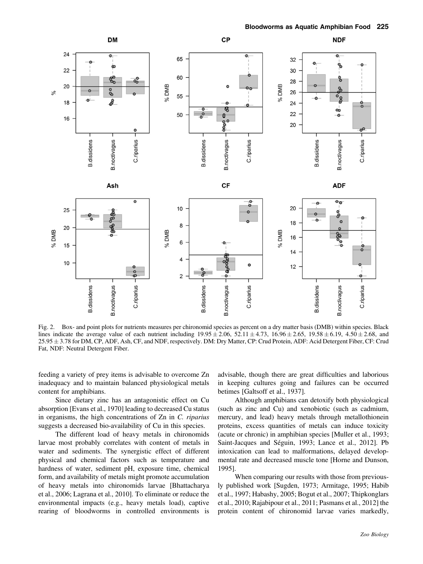

Fig. 2. Box- and point plots for nutrients measures per chironomid species as percent on a dry matter basis (DMB) within species. Black lines indicate the average value of each nutrient including  $19.95 \pm 2.06$ ,  $52.11 \pm 4.73$ ,  $16.96 \pm 2.65$ ,  $19.58 \pm 6.19$ ,  $4.50 \pm 2.68$ , and 25.95 3.78 for DM, CP, ADF, Ash, CF, and NDF, respectively. DM: Dry Matter, CP: Crud Protein, ADF: Acid Detergent Fiber, CF: Crud Fat, NDF: Neutral Detergent Fiber.

feeding a variety of prey items is advisable to overcome Zn inadequacy and to maintain balanced physiological metals content for amphibians.

Since dietary zinc has an antagonistic effect on Cu absorption [Evans et al., 1970] leading to decreased Cu status in organisms, the high concentrations of Zn in C. riparius suggests a decreased bio‐availability of Cu in this species.

The different load of heavy metals in chironomids larvae most probably correlates with content of metals in water and sediments. The synergistic effect of different physical and chemical factors such as temperature and hardness of water, sediment pH, exposure time, chemical form, and availability of metals might promote accumulation of heavy metals into chironomids larvae [Bhattacharya et al., 2006; Lagrana et al., 2010]. To eliminate or reduce the environmental impacts (e.g., heavy metals load), captive rearing of bloodworms in controlled environments is

advisable, though there are great difficulties and laborious in keeping cultures going and failures can be occurred betimes [Galtsoff et al., 1937].

Although amphibians can detoxify both physiological (such as zinc and Cu) and xenobiotic (such as cadmium, mercury, and lead) heavy metals through metallothionein proteins, excess quantities of metals can induce toxicity (acute or chronic) in amphibian species [Muller et al., 1993; Saint‐Jacques and Séguin, 1993; Lance et al., 2012]. Pb intoxication can lead to malformations, delayed developmental rate and decreased muscle tone [Horne and Dunson, 1995].

When comparing our results with those from previously published work [Sugden, 1973; Armitage, 1995; Habib et al., 1997; Habashy, 2005; Bogut et al., 2007; Thipkonglars et al., 2010; Rajabipour et al., 2011; Pasmans et al., 2012] the protein content of chironomid larvae varies markedly,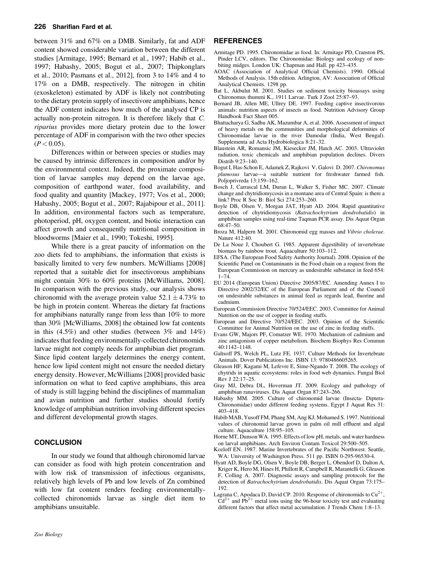## 226 Sharifian Fard et al.

between 31% and 67% on a DMB. Similarly, fat and ADF content showed considerable variation between the different studies [Armitage, 1995; Bernard et al., 1997; Habib et al., 1997; Habashy, 2005; Bogut et al., 2007; Thipkonglars et al., 2010; Pasmans et al., 2012], from 3 to 14% and 4 to 17% on a DMB, respectively. The nitrogen in chitin (exoskeleton) estimated by ADF is likely not contributing to the dietary protein supply of insectivore amphibians, hence the ADF content indicates how much of the analysed CP is actually non‐protein nitrogen. It is therefore likely that C. riparius provides more dietary protein due to the lower percentage of ADF in comparison with the two other species  $(P < 0.05)$ .

Differences within or between species or studies may be caused by intrinsic differences in composition and/or by the environmental context. Indeed, the proximate composition of larvae samples may depend on the larvae age, composition of earthpond water, food availability, and food quality and quantity [Mackey, 1977; Vos et al., 2000; Habashy, 2005; Bogut et al., 2007; Rajabipour et al., 2011]. In addition, environmental factors such as temperature, photoperiod, pH, oxygen content, and biotic interaction can affect growth and consequently nutritional composition in bloodworms [Maier et al., 1990; Tokeshi, 1995].

While there is a great paucity of information on the zoo diets fed to amphibians, the information that exists is basically limited to very few numbers. McWilliams [2008] reported that a suitable diet for insectivorous amphibians might contain 30% to 60% proteins [McWilliams, 2008]. In comparison with the previous study, our analysis shows chironomid with the average protein value  $52.1 \pm 4.73\%$  to be high in protein content. Whereas the dietary fat fractions for amphibians naturally range from less than 10% to more than 30% [McWilliams, 2008] the obtained low fat contents in this (4.5%) and other studies (between 3% and 14%) indicates that feeding environmentally‐collected chironomids larvae might not comply needs for amphibian diet program. Since lipid content largely determines the energy content, hence low lipid content might not ensure the needed dietary energy density. However, McWilliams [2008] provided basic information on what to feed captive amphibians, this area of study is still lagging behind the disciplines of mammalian and avian nutrition and further studies should fortify knowledge of amphibian nutrition involving different species and different developmental growth stages.

## **CONCLUSION**

In our study we found that although chironomid larvae can consider as food with high protein concentration and with low risk of transmission of infectious organisms, relatively high levels of Pb and low levels of Zn combined with low fat content renders feeding environmentallycollected chironomids larvae as single diet item to amphibians unsuitable.

#### **REFERENCES**

- Armitage PD. 1995. Chironomidae as food. In: Armitage PD, Cranston PS, Pinder LCV, editors. The Chironomidae: Biology and ecology of nonbiting midges. London UK: Chapman and Hall. pp 423–435.
- AOAC (Association of Analytical Official Chemists). 1990. Official Methods of Analysis. 15th edition. Arlington, AV: Association of Official Analytical Chemists. 1298 pp.
- Bat L, Akbulut M. 2001. Studies on sediment toxicity bioassays using Chironomus thummi K., 1911 Larvae. Turk J Zool 25:87–93.
- Bernard JB, Allen ME, Ullrey DE. 1997. Feeding captive insectivorous animals: nutrition aspects of insects as food. Nutrition Advisory Group Handbook Fact Sheet 005.
- Bhattacharya G, Sadhu AK, Mazumbar A, et al. 2006. Assessment of impact of heavy metals on the communities and morphological deformities of Chironomidae larvae in the river Damodar (India, West Bengal). Supplementa ad Acta Hydrobiologica 8:21–32.
- Blaustein AR, Romansic JM, Kiesecker JM, Hatch AC. 2003. Ultraviolet radiation, toxic chemicals and amphibian population declines. Divers Distrib 9:23–140.
- Bogut I, Has‐Schon E, Adamek Z, Rajkovi V, Galovi D. 2007. Chironomus plumosus larvae—a suitable nutrient for freshwater farmed fish. Poljoprivreda 13:159–162.
- Bosch J, Carrascal LM, Duran L, Walker S, Fisher MC. 2007. Climate change and chytridiomycosis in a montane area of Central Spain: is there a link? Proc R Soc B: Biol Sci 274:253–260.
- Boyle DB, Olsen V, Morgan JAT, Hyatt AD. 2004. Rapid quantitative detection of chytridiomycosis (Batrachochytrium dendrobatidis) in amphibian samples using real‐time Taqman PCR assay. Dis Aquat Organ 68:47–50.
- Broza M, Halpern M. 2001. Chironomid egg masses and Vibrio cholerae. Nature 412:40.
- De La Noue J, Choubert G. 1985. Apparent digestibility of invertebrate biomass by rainbow trout. Aquaculture 50:103–112.
- EFSA. (The European Food Safety Authority Journal). 2008. Opinion of the Scientific Panel on Contaminants in the Food chain on a request from the European Commission on mercury as undesirable substance in feed 654: 1–74.
- EU 2014 (European Union) Directive 2005/87/EC. Amending Annex I to Directive 2002/32/EC of the European Parliament and of the Council on undesirable substances in animal feed as regards lead, fluorine and cadmium.
- European Commission Directive 70/524/EEC. 2003. Committee for Animal Nutrition on the use of copper in feeding stuffs.
- European and Directive 70/524/EEC. 2003. Opinion of the Scientific Committee for Animal Nutrition on the use of zinc in feeding stuffs.
- Evans GW, Majors PF, Comatzer WE. 1970. Mechanism of cadmium and zinc antagonism of copper metabolism. Biochem Biophys Res Commun 40:1142–1148.
- Galtsoff PS, Welch PL, Lutz FE. 1937. Culture Methods for Invertebrate Animals. Dover Publications Inc. ISBN 13: 9780486605265.
- Gleason HF, Kagami M, Lefevre E, Sime‐Ngando T. 2008. The ecology of chytrids in aquatic ecosystems: roles in food web dynamics. Fungal Biol Rev J 22:17–25.
- Gray MJ, Debra DL, Hoverman JT. 2009. Ecology and pathology of amphibian ranaviruses. Dis Aquat Organ 87:243–266.
- Habashy MM. 2005. Culture of chironomid larvae (Insecta- Diptera-Chironomidae) under different feeding systems. Egypt J Aquat Res 31: 403–418.
- Habib MAB, Yusoff FM, Phang SM, Ang KJ, Mohamed S. 1997. Nutritional values of chironomid larvae grown in palm oil mill effluent and algal culture. Aquaculture 158:95–105.
- Horne MT, Dunson WA. 1995. Effects of low pH, metals, and water hardness on larval amphibians. Arch Environ Contam Toxicol 29:500–505.
- Kozloff EN. 1987. Marine Invertebrates of the Pacific Northwest. Seattle, WA: University of Washington Press. 511 pp. ISBN 0‐295‐96530‐4.
- Hyatt AD, Boyle DG, Olsen V, Boyle DB, Berger L, Obendorf D, Dalton A, Kriger K, Hero M, Hines H, Phillott R, Campbell R, Marantelli G, Gleason F, Colling A. 2007. Diagnostic assays and sampling protocols for the detection of Batrachochytrium dendrobatidis. Dis Aquat Organ 73:175– 192.
- Lagrana C, Apodaca D, David CP. 2010. Response of chironomids to  $Cu^{2+}$ ,  $\tilde{C}d^{2+}$  and  $\tilde{P}b^{2+}$  metal ions using the 96-hour toxicity test and evaluating different factors that affect metal accumulation. J Trends Chem 1:8–13.